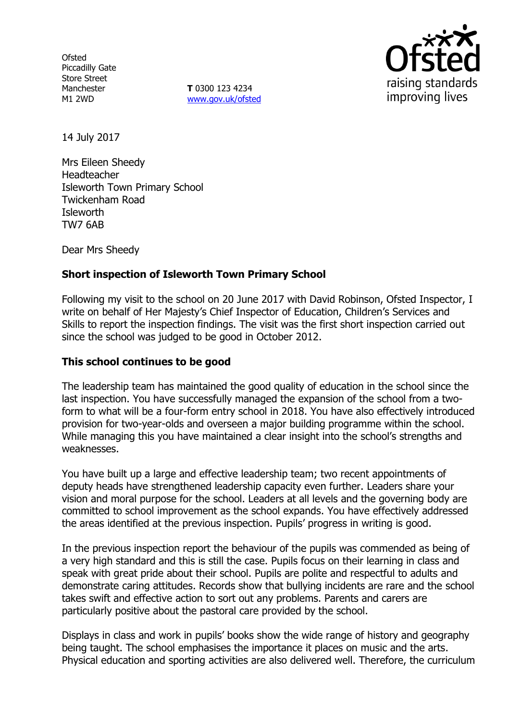**Ofsted** Piccadilly Gate Store Street Manchester M1 2WD

**T** 0300 123 4234 www.gov.uk/ofsted



14 July 2017

Mrs Eileen Sheedy Headteacher Isleworth Town Primary School Twickenham Road Isleworth TW7 6AB

Dear Mrs Sheedy

# **Short inspection of Isleworth Town Primary School**

Following my visit to the school on 20 June 2017 with David Robinson, Ofsted Inspector, I write on behalf of Her Majesty's Chief Inspector of Education, Children's Services and Skills to report the inspection findings. The visit was the first short inspection carried out since the school was judged to be good in October 2012.

### **This school continues to be good**

The leadership team has maintained the good quality of education in the school since the last inspection. You have successfully managed the expansion of the school from a twoform to what will be a four-form entry school in 2018. You have also effectively introduced provision for two-year-olds and overseen a major building programme within the school. While managing this you have maintained a clear insight into the school's strengths and weaknesses.

You have built up a large and effective leadership team; two recent appointments of deputy heads have strengthened leadership capacity even further. Leaders share your vision and moral purpose for the school. Leaders at all levels and the governing body are committed to school improvement as the school expands. You have effectively addressed the areas identified at the previous inspection. Pupils' progress in writing is good.

In the previous inspection report the behaviour of the pupils was commended as being of a very high standard and this is still the case. Pupils focus on their learning in class and speak with great pride about their school. Pupils are polite and respectful to adults and demonstrate caring attitudes. Records show that bullying incidents are rare and the school takes swift and effective action to sort out any problems. Parents and carers are particularly positive about the pastoral care provided by the school.

Displays in class and work in pupils' books show the wide range of history and geography being taught. The school emphasises the importance it places on music and the arts. Physical education and sporting activities are also delivered well. Therefore, the curriculum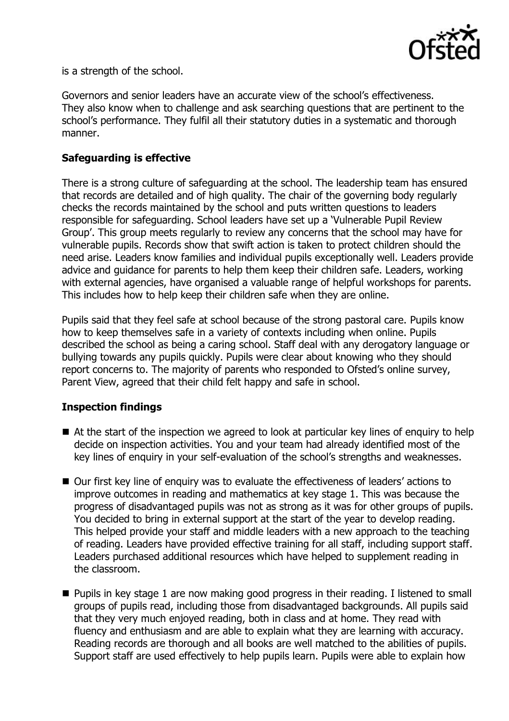

is a strength of the school.

Governors and senior leaders have an accurate view of the school's effectiveness. They also know when to challenge and ask searching questions that are pertinent to the school's performance. They fulfil all their statutory duties in a systematic and thorough manner.

# **Safeguarding is effective**

There is a strong culture of safeguarding at the school. The leadership team has ensured that records are detailed and of high quality. The chair of the governing body regularly checks the records maintained by the school and puts written questions to leaders responsible for safeguarding. School leaders have set up a 'Vulnerable Pupil Review Group'. This group meets regularly to review any concerns that the school may have for vulnerable pupils. Records show that swift action is taken to protect children should the need arise. Leaders know families and individual pupils exceptionally well. Leaders provide advice and guidance for parents to help them keep their children safe. Leaders, working with external agencies, have organised a valuable range of helpful workshops for parents. This includes how to help keep their children safe when they are online.

Pupils said that they feel safe at school because of the strong pastoral care. Pupils know how to keep themselves safe in a variety of contexts including when online. Pupils described the school as being a caring school. Staff deal with any derogatory language or bullying towards any pupils quickly. Pupils were clear about knowing who they should report concerns to. The majority of parents who responded to Ofsted's online survey, Parent View, agreed that their child felt happy and safe in school.

### **Inspection findings**

- At the start of the inspection we agreed to look at particular key lines of enquiry to help decide on inspection activities. You and your team had already identified most of the key lines of enquiry in your self-evaluation of the school's strengths and weaknesses.
- Our first key line of enquiry was to evaluate the effectiveness of leaders' actions to improve outcomes in reading and mathematics at key stage 1. This was because the progress of disadvantaged pupils was not as strong as it was for other groups of pupils. You decided to bring in external support at the start of the year to develop reading. This helped provide your staff and middle leaders with a new approach to the teaching of reading. Leaders have provided effective training for all staff, including support staff. Leaders purchased additional resources which have helped to supplement reading in the classroom.
- **Pupils in key stage 1 are now making good progress in their reading. I listened to small** groups of pupils read, including those from disadvantaged backgrounds. All pupils said that they very much enjoyed reading, both in class and at home. They read with fluency and enthusiasm and are able to explain what they are learning with accuracy. Reading records are thorough and all books are well matched to the abilities of pupils. Support staff are used effectively to help pupils learn. Pupils were able to explain how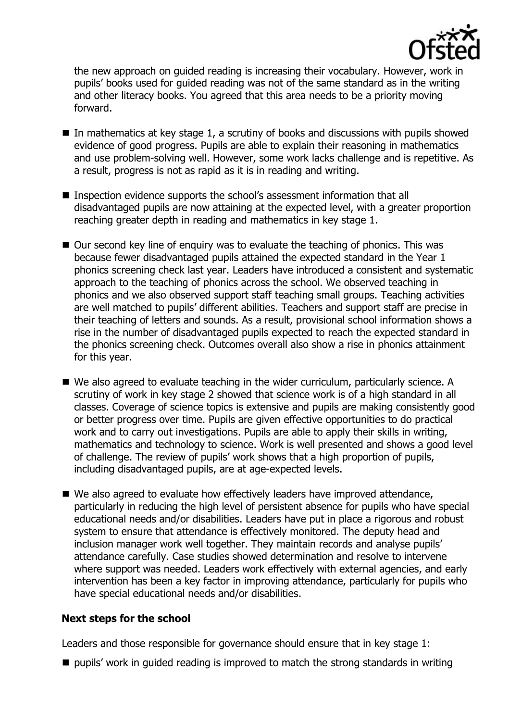

the new approach on guided reading is increasing their vocabulary. However, work in pupils' books used for guided reading was not of the same standard as in the writing and other literacy books. You agreed that this area needs to be a priority moving forward.

- $\blacksquare$  In mathematics at key stage 1, a scrutiny of books and discussions with pupils showed evidence of good progress. Pupils are able to explain their reasoning in mathematics and use problem-solving well. However, some work lacks challenge and is repetitive. As a result, progress is not as rapid as it is in reading and writing.
- Inspection evidence supports the school's assessment information that all disadvantaged pupils are now attaining at the expected level, with a greater proportion reaching greater depth in reading and mathematics in key stage 1.
- Our second key line of enquiry was to evaluate the teaching of phonics. This was because fewer disadvantaged pupils attained the expected standard in the Year 1 phonics screening check last year. Leaders have introduced a consistent and systematic approach to the teaching of phonics across the school. We observed teaching in phonics and we also observed support staff teaching small groups. Teaching activities are well matched to pupils' different abilities. Teachers and support staff are precise in their teaching of letters and sounds. As a result, provisional school information shows a rise in the number of disadvantaged pupils expected to reach the expected standard in the phonics screening check. Outcomes overall also show a rise in phonics attainment for this year.
- We also agreed to evaluate teaching in the wider curriculum, particularly science. A scrutiny of work in key stage 2 showed that science work is of a high standard in all classes. Coverage of science topics is extensive and pupils are making consistently good or better progress over time. Pupils are given effective opportunities to do practical work and to carry out investigations. Pupils are able to apply their skills in writing, mathematics and technology to science. Work is well presented and shows a good level of challenge. The review of pupils' work shows that a high proportion of pupils, including disadvantaged pupils, are at age-expected levels.
- We also agreed to evaluate how effectively leaders have improved attendance, particularly in reducing the high level of persistent absence for pupils who have special educational needs and/or disabilities. Leaders have put in place a rigorous and robust system to ensure that attendance is effectively monitored. The deputy head and inclusion manager work well together. They maintain records and analyse pupils' attendance carefully. Case studies showed determination and resolve to intervene where support was needed. Leaders work effectively with external agencies, and early intervention has been a key factor in improving attendance, particularly for pupils who have special educational needs and/or disabilities.

### **Next steps for the school**

Leaders and those responsible for governance should ensure that in key stage 1:

 $\blacksquare$  pupils' work in guided reading is improved to match the strong standards in writing